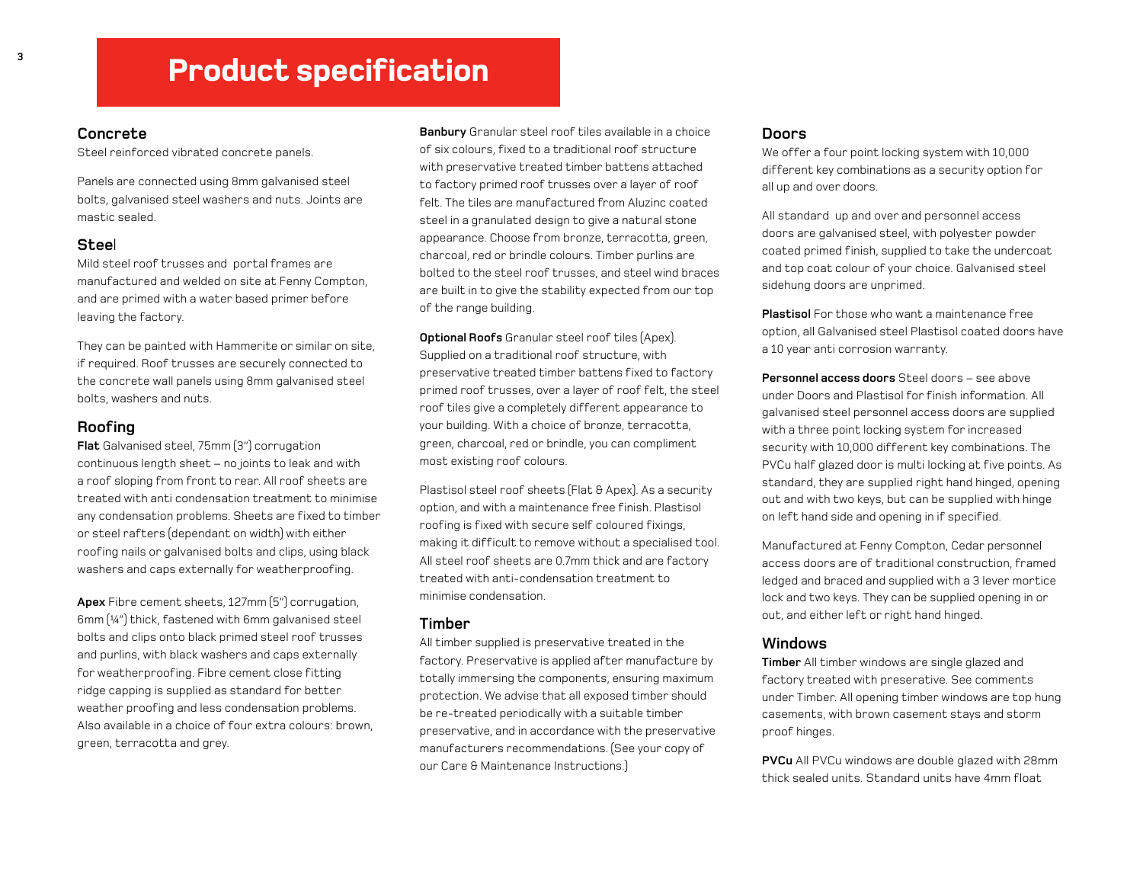# **Product specification**

#### Concrete

Steel reinforced vibrated concrete panels.

Panels are connected using 8m m galvanised steel bolts, galvanised steel washers and nuts. Joints are m astic sealed.

#### Steel

Mild steel roof trusses and portal frames are manufactured and welded on site at Fenny Compton, and are primed with a water based primer before leaving the factory.

They can be painted with Hammerite or similar on site, if required. Roof trusses are securely connected to the concrete wall panels using 8mm galvanised steel bolts, washers and nuts.

# Roofing

**Flat** Galvanised steel, 75mm (3") corrugation continuous length sheet – no joints to leak and with a roof sloping from front to rear. All roof sheets are treated with anti condensation treatment to minimise any condensation problems. Sheets are fixed to timber or steel rafters (dependant on width) with either roofing nails or galvanised bolts and clips, using black washers and caps externally for weatherproofing.

Apex Fibre cement sheets, 127mm (5") corrugation, 6mm  $[44^{\prime\prime}]$  thick, fastened with 6mm galvanised steel bolts and clips onto black primed steel roof trusses and purlins, with black washers and caps externally for weatherproofing. Fibre cement close fitting ridge capping is supplied as standard for better weather proofing and less condensation problems. Also available in a choice of four extra colours: brown, green, terracotta and grey.

**Banbury** Granular steel roof tiles available in a choice of six colours, fixed to a traditional roof structure with preservative treated timber battens attached to factory prim ed roof trusses over <sup>a</sup> layer of roof felt. The tiles are manufactured from Aluzinc coated steel in <sup>a</sup> granulated design to give <sup>a</sup> natural stone appearance. Choose from bronze, terracotta, green, charcoal, red or brindle colours. Timber purlins are bolted to the steel roof trusses, and steel wind braces are built in to give the stability expected from our top of the range building.

Optional Roofs Granular steel roof tiles (Apex). Supplied on a traditional roof structure, with preservative treated timber battens fixed to factory primed roof trusses, over a layer of roof felt, the steel roof tiles give a completely different appearance to your building. With a choice of bronze, terracotta, green, charcoal, red or brindle, you can compliment m ost existing roof colours.

Plastisol steel roof sheets (Flat & Apex). As a security option, and with a maintenance free finish. Plastisol roofing is fixed with secure self coloured fixings, making it difficult to remove without a specialised tool. All steel roof sheets are 0.7mm thick and are factory treated with anti-condensation treatment to m inim ise condensation.

#### Timber

All timber supplied is preservative treated in the factory. Preservative is applied after manufacture by totally immersing the components, ensuring maximum protection. We advise that all exposed timber should be re-treated periodically with a suitable timber preservative, and in accordance with the preservative m anufacturers recom m endations. (See your copy of our Care & Maintenance Instructions.)

#### Doors

We offer a four point locking system with 10,000 different key combinations as a security option for all up and over doors.

All standard up and over and personnel access doors are galvanised steel, with polyester powder coated primed finish, supplied to take the undercoat and top coat colour of your choice. Galvanised steel sidehung doors are unprimed.

**Plastisol** For those who want a maintenance free option, all Galvanised steel Plastisol coated doors have a 10 year anti corrosion warranty.

**Personnel access doors** Steel doors – see above under Doors and Plastisol for finish information. All galvanised steel personnel access doors are supplied with a three point locking system for increased security with 10,000 different key combinations. The PVCu half glazed door is multi locking at five points. As standard, they are supplied right hand hinged, opening out and with two keys, but can be supplied with hinge on left hand side and opening in if specified.

Manufactured at Fenny Compton, Cedar personnel access doors are of traditional construction, framed ledged and braced and supplied with a 3 lever mortice lock and two keys. They can be supplied opening in or out, and either left or right hand hinged.

# W in dows

**Timber** All timber windows are single glazed and factory treated with preserative. See comments under Timber. All opening timber windows are top hung casements, with brown casement stays and storm proof hinges.

**PVCu** All PVCu windows are double glazed with 28mm thick sealed units. Standard units have 4m m float